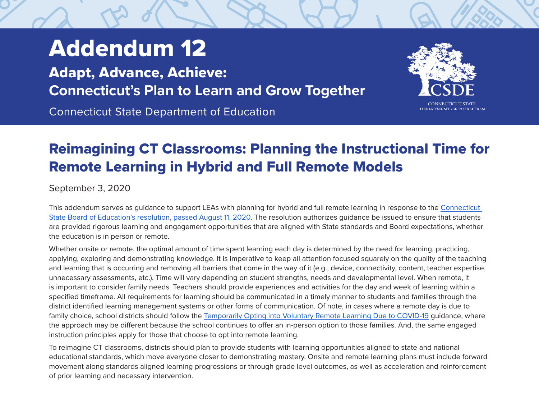# Addendum 12

Adapt, Advance, Achieve: **Connecticut's Plan to Learn and Grow Together**

Connecticut State Department of Education



## Reimagining CT Classrooms: Planning the Instructional Time for Remote Learning in Hybrid and Full Remote Models

September 3, 2020

This addendum serves as guidance to support LEAs with planning for hybrid and full remote learning in response to the [Connecticut](https://portal.ct.gov/-/media/SDE/Digest/2020-21/RESOLUTIONAmended-Resolution-Rev-11-2020-COVID19-Board-Report-School-Year-Shortening-180-Dayssigned.pdf)  [State Board of Education's resolution, passed August 11, 2020](https://portal.ct.gov/-/media/SDE/Digest/2020-21/RESOLUTIONAmended-Resolution-Rev-11-2020-COVID19-Board-Report-School-Year-Shortening-180-Dayssigned.pdf). The resolution authorizes guidance be issued to ensure that students are provided rigorous learning and engagement opportunities that are aligned with State standards and Board expectations, whether the education is in person or remote.

Whether onsite or remote, the optimal amount of time spent learning each day is determined by the need for learning, practicing, applying, exploring and demonstrating knowledge. It is imperative to keep all attention focused squarely on the quality of the teaching and learning that is occurring and removing all barriers that come in the way of it (e.g., device, connectivity, content, teacher expertise, unnecessary assessments, etc.). Time will vary depending on student strengths, needs and developmental level. When remote, it is important to consider family needs. Teachers should provide experiences and activities for the day and week of learning within a specified timeframe. All requirements for learning should be communicated in a timely manner to students and families through the district identified learning management systems or other forms of communication. Of note, in cases where a remote day is due to family choice, school districts should follow the [Temporarily Opting into Voluntary Remote Learning Due to COVID-19](https://portal.ct.gov/-/media/SDE/COVID-19/Addendum-1-Temporarily-Opting-into-Voluntary-Remote-Learning-Due-to-COVID-19-Memo-previously-sent.pdf) guidance, where the approach may be different because the school continues to offer an in-person option to those families. And, the same engaged instruction principles apply for those that choose to opt into remote learning.

To reimagine CT classrooms, districts should plan to provide students with learning opportunities aligned to state and national educational standards, which move everyone closer to demonstrating mastery. Onsite and remote learning plans must include forward movement along standards aligned learning progressions or through grade level outcomes, as well as acceleration and reinforcement of prior learning and necessary intervention.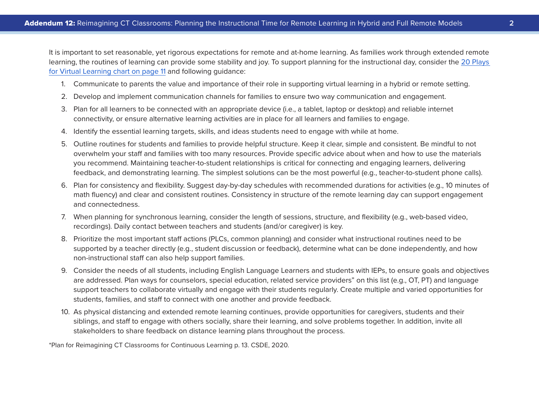It is important to set reasonable, yet rigorous expectations for remote and at-home learning. As families work through extended remote learning, the routines of learning can provide some stability and joy. To support planning for the instructional day, consider the [20 Plays](#page-10-0)  [for Virtual Learning chart on page 11](#page-10-0) and following guidance:

- 1. Communicate to parents the value and importance of their role in supporting virtual learning in a hybrid or remote setting.
- 2. Develop and implement communication channels for families to ensure two way communication and engagement.
- 3. Plan for all learners to be connected with an appropriate device (i.e., a tablet, laptop or desktop) and reliable internet connectivity, or ensure alternative learning activities are in place for all learners and families to engage.
- 4. Identify the essential learning targets, skills, and ideas students need to engage with while at home.
- 5. Outline routines for students and families to provide helpful structure. Keep it clear, simple and consistent. Be mindful to not overwhelm your staff and families with too many resources. Provide specific advice about when and how to use the materials you recommend. Maintaining teacher-to-student relationships is critical for connecting and engaging learners, delivering feedback, and demonstrating learning. The simplest solutions can be the most powerful (e.g., teacher-to-student phone calls).
- 6. Plan for consistency and flexibility. Suggest day-by-day schedules with recommended durations for activities (e.g., 10 minutes of math fluency) and clear and consistent routines. Consistency in structure of the remote learning day can support engagement and connectedness.
- 7. When planning for synchronous learning, consider the length of sessions, structure, and flexibility (e.g., web-based video, recordings). Daily contact between teachers and students (and/or caregiver) is key.
- 8. Prioritize the most important staff actions (PLCs, common planning) and consider what instructional routines need to be supported by a teacher directly (e.g., student discussion or feedback), determine what can be done independently, and how non-instructional staff can also help support families.
- 9. Consider the needs of all students, including English Language Learners and students with IEPs, to ensure goals and objectives are addressed. Plan ways for counselors, special education, related service providers" on this list (e.g., OT, PT) and language support teachers to collaborate virtually and engage with their students regularly. Create multiple and varied opportunities for students, families, and staff to connect with one another and provide feedback.
- 10. As physical distancing and extended remote learning continues, provide opportunities for caregivers, students and their siblings, and staff to engage with others socially, share their learning, and solve problems together. In addition, invite all stakeholders to share feedback on distance learning plans throughout the process.

\*Plan for Reimagining CT Classrooms for Continuous Learning p. 13. CSDE, 2020.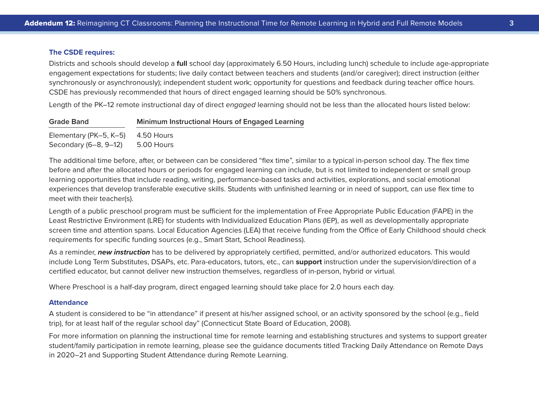### **The CSDE requires:**

Districts and schools should develop a **full** school day (approximately 6.50 Hours, including lunch) schedule to include age-appropriate engagement expectations for students; live daily contact between teachers and students (and/or caregiver); direct instruction (either synchronously or asynchronously); independent student work; opportunity for questions and feedback during teacher office hours. CSDE has previously recommended that hours of direct engaged learning should be 50% synchronous.

Length of the PK–12 remote instructional day of direct *engaged* learning should not be less than the allocated hours listed below:

| <b>Grade Band</b>      | Minimum Instructional Hours of Engaged Learning |
|------------------------|-------------------------------------------------|
| Elementary (PK-5, K-5) | 4.50 Hours                                      |
| Secondary (6–8, 9–12)  | 5.00 Hours                                      |

The additional time before, after, or between can be considered "flex time", similar to a typical in-person school day. The flex time before and after the allocated hours or periods for engaged learning can include, but is not limited to independent or small group learning opportunities that include reading, writing, performance-based tasks and activities, explorations, and social emotional experiences that develop transferable executive skills. Students with unfinished learning or in need of support, can use flex time to meet with their teacher(s).

Length of a public preschool program must be sufficient for the implementation of Free Appropriate Public Education (FAPE) in the Least Restrictive Environment (LRE) for students with Individualized Education Plans (IEP), as well as developmentally appropriate screen time and attention spans. Local Education Agencies (LEA) that receive funding from the Office of Early Childhood should check requirements for specific funding sources (e.g., Smart Start, School Readiness).

As a reminder, *new instruction* has to be delivered by appropriately certified, permitted, and/or authorized educators. This would include Long Term Substitutes, DSAPs, etc. Para-educators, tutors, etc., can **support** instruction under the supervision/direction of a certified educator, but cannot deliver new instruction themselves, regardless of in-person, hybrid or virtual.

Where Preschool is a half-day program, direct engaged learning should take place for 2.0 hours each day.

## **Attendance**

A student is considered to be "in attendance" if present at his/her assigned school, or an activity sponsored by the school (e.g., field trip), for at least half of the regular school day" (Connecticut State Board of Education, 2008).

For more information on planning the instructional time for remote learning and establishing structures and systems to support greater student/family participation in remote learning, please see the guidance documents titled Tracking Daily Attendance on Remote Days in 2020–21 and Supporting Student Attendance during Remote Learning.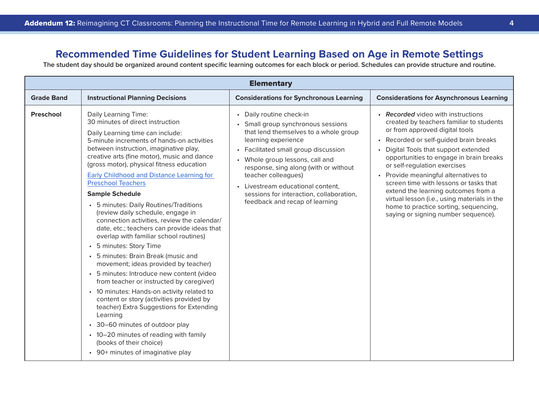## **Recommended Time Guidelines for Student Learning Based on Age in Remote Settings**

**The student day should be organized around content specific learning outcomes for each block or period. Schedules can provide structure and routine.** 

| <b>Elementary</b> |                                                                                                                                                                                                                                                                                                                                                                                                                                                                                                                                                                                                                                                                                                                                                                                                                                                                                                                                                                                                                                                                                                               |                                                                                                                                                                                                                                                                                                                                                                                          |                                                                                                                                                                                                                                                                                                                                                                                                                                                                                                                                     |  |
|-------------------|---------------------------------------------------------------------------------------------------------------------------------------------------------------------------------------------------------------------------------------------------------------------------------------------------------------------------------------------------------------------------------------------------------------------------------------------------------------------------------------------------------------------------------------------------------------------------------------------------------------------------------------------------------------------------------------------------------------------------------------------------------------------------------------------------------------------------------------------------------------------------------------------------------------------------------------------------------------------------------------------------------------------------------------------------------------------------------------------------------------|------------------------------------------------------------------------------------------------------------------------------------------------------------------------------------------------------------------------------------------------------------------------------------------------------------------------------------------------------------------------------------------|-------------------------------------------------------------------------------------------------------------------------------------------------------------------------------------------------------------------------------------------------------------------------------------------------------------------------------------------------------------------------------------------------------------------------------------------------------------------------------------------------------------------------------------|--|
| <b>Grade Band</b> | <b>Instructional Planning Decisions</b>                                                                                                                                                                                                                                                                                                                                                                                                                                                                                                                                                                                                                                                                                                                                                                                                                                                                                                                                                                                                                                                                       | <b>Considerations for Synchronous Learning</b>                                                                                                                                                                                                                                                                                                                                           | <b>Considerations for Asynchronous Learning</b>                                                                                                                                                                                                                                                                                                                                                                                                                                                                                     |  |
| Preschool         | Daily Learning Time:<br>30 minutes of direct instruction<br>Daily Learning time can include:<br>5-minute increments of hands-on activities<br>between instruction, imaginative play,<br>creative arts (fine motor), music and dance<br>(gross motor), physical fitness education<br>Early Childhood and Distance Learning for<br><b>Preschool Teachers</b><br><b>Sample Schedule</b><br>• 5 minutes: Daily Routines/Traditions<br>(review daily schedule, engage in<br>connection activities, review the calendar/<br>date, etc.; teachers can provide ideas that<br>overlap with familiar school routines)<br>• 5 minutes: Story Time<br>• 5 minutes: Brain Break (music and<br>movement; ideas provided by teacher)<br>• 5 minutes: Introduce new content (video<br>from teacher or instructed by caregiver)<br>• 10 minutes: Hands-on activity related to<br>content or story (activities provided by<br>teacher) Extra Suggestions for Extending<br>Learning<br>• 30-60 minutes of outdoor play<br>• 10-20 minutes of reading with family<br>(books of their choice)<br>• 90+ minutes of imaginative play | Daily routine check-in<br>Small group synchronous sessions<br>that lend themselves to a whole group<br>learning experience<br>• Facilitated small group discussion<br>• Whole group lessons, call and<br>response, sing along (with or without<br>teacher colleagues)<br>• Livestream educational content,<br>sessions for interaction, collaboration,<br>feedback and recap of learning | • Recorded video with instructions<br>created by teachers familiar to students<br>or from approved digital tools<br>Recorded or self-guided brain breaks<br>Digital Tools that support extended<br>opportunities to engage in brain breaks<br>or self-regulation exercises<br>• Provide meaningful alternatives to<br>screen time with lessons or tasks that<br>extend the learning outcomes from a<br>virtual lesson (i.e., using materials in the<br>home to practice sorting, sequencing,<br>saying or signing number sequence). |  |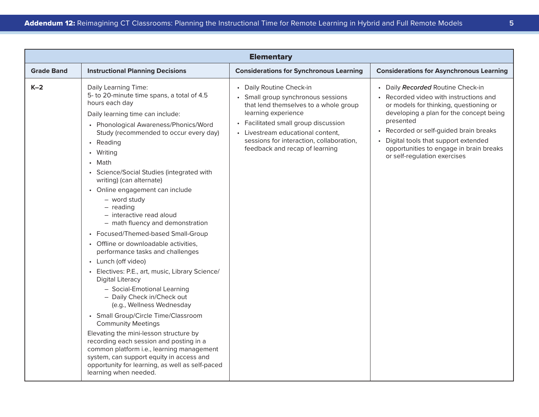| <b>Elementary</b> |                                                                                                                                                                                                                                                                                                                                                                                                                                                                                                                                                                                                                                                                                                                                                                                                                                                                                                                                                                                                                                                                                                            |                                                                                                                                                                                                                                                                                     |                                                                                                                                                                                                                                                                                                                                           |
|-------------------|------------------------------------------------------------------------------------------------------------------------------------------------------------------------------------------------------------------------------------------------------------------------------------------------------------------------------------------------------------------------------------------------------------------------------------------------------------------------------------------------------------------------------------------------------------------------------------------------------------------------------------------------------------------------------------------------------------------------------------------------------------------------------------------------------------------------------------------------------------------------------------------------------------------------------------------------------------------------------------------------------------------------------------------------------------------------------------------------------------|-------------------------------------------------------------------------------------------------------------------------------------------------------------------------------------------------------------------------------------------------------------------------------------|-------------------------------------------------------------------------------------------------------------------------------------------------------------------------------------------------------------------------------------------------------------------------------------------------------------------------------------------|
| <b>Grade Band</b> | <b>Instructional Planning Decisions</b>                                                                                                                                                                                                                                                                                                                                                                                                                                                                                                                                                                                                                                                                                                                                                                                                                                                                                                                                                                                                                                                                    | <b>Considerations for Synchronous Learning</b>                                                                                                                                                                                                                                      | <b>Considerations for Asynchronous Learning</b>                                                                                                                                                                                                                                                                                           |
| $K-2$             | Daily Learning Time:<br>5- to 20-minute time spans, a total of 4.5<br>hours each day<br>Daily learning time can include:<br>• Phonological Awareness/Phonics/Word<br>Study (recommended to occur every day)<br>• Reading<br>• Writing<br>• Math<br>• Science/Social Studies (integrated with<br>writing) (can alternate)<br>• Online engagement can include<br>- word study<br>$-$ reading<br>- interactive read aloud<br>- math fluency and demonstration<br>• Focused/Themed-based Small-Group<br>• Offline or downloadable activities,<br>performance tasks and challenges<br>• Lunch (off video)<br>• Electives: P.E., art, music, Library Science/<br><b>Digital Literacy</b><br>- Social-Emotional Learning<br>- Daily Check in/Check out<br>(e.g., Wellness Wednesday<br>• Small Group/Circle Time/Classroom<br><b>Community Meetings</b><br>Elevating the mini-lesson structure by<br>recording each session and posting in a<br>common platform i.e., learning management<br>system, can support equity in access and<br>opportunity for learning, as well as self-paced<br>learning when needed. | Daily Routine Check-in<br>Small group synchronous sessions<br>that lend themselves to a whole group<br>learning experience<br>Facilitated small group discussion<br>• Livestream educational content,<br>sessions for interaction, collaboration,<br>feedback and recap of learning | • Daily Recorded Routine Check-in<br>Recorded video with instructions and<br>or models for thinking, questioning or<br>developing a plan for the concept being<br>presented<br>• Recorded or self-guided brain breaks<br>• Digital tools that support extended<br>opportunities to engage in brain breaks<br>or self-regulation exercises |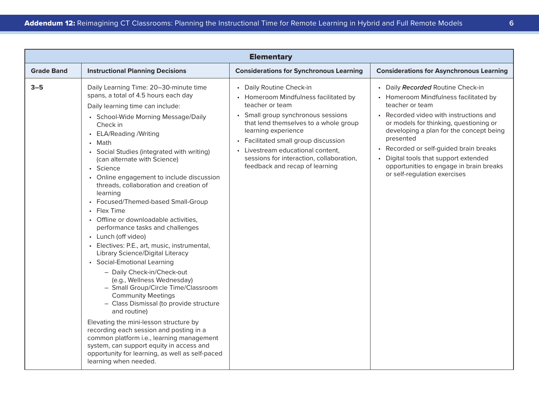| <b>Elementary</b> |                                                                                                                                                                                                                                                                                                                                                                                                                                                                                                                                                                                                                                                                                                                                                                                                                                                                                                                                                                                                                                                                                                                                          |                                                                                                                                                                                                                                                                                                                                                   |                                                                                                                                                                                                                                                                                                                                                                                                         |  |
|-------------------|------------------------------------------------------------------------------------------------------------------------------------------------------------------------------------------------------------------------------------------------------------------------------------------------------------------------------------------------------------------------------------------------------------------------------------------------------------------------------------------------------------------------------------------------------------------------------------------------------------------------------------------------------------------------------------------------------------------------------------------------------------------------------------------------------------------------------------------------------------------------------------------------------------------------------------------------------------------------------------------------------------------------------------------------------------------------------------------------------------------------------------------|---------------------------------------------------------------------------------------------------------------------------------------------------------------------------------------------------------------------------------------------------------------------------------------------------------------------------------------------------|---------------------------------------------------------------------------------------------------------------------------------------------------------------------------------------------------------------------------------------------------------------------------------------------------------------------------------------------------------------------------------------------------------|--|
| <b>Grade Band</b> | <b>Instructional Planning Decisions</b>                                                                                                                                                                                                                                                                                                                                                                                                                                                                                                                                                                                                                                                                                                                                                                                                                                                                                                                                                                                                                                                                                                  | <b>Considerations for Synchronous Learning</b>                                                                                                                                                                                                                                                                                                    | <b>Considerations for Asynchronous Learning</b>                                                                                                                                                                                                                                                                                                                                                         |  |
| $3-5$             | Daily Learning Time: 20-30-minute time<br>spans, a total of 4.5 hours each day<br>Daily learning time can include:<br>• School-Wide Morning Message/Daily<br>Check in<br>• ELA/Reading /Writing<br>• Math<br>• Social Studies (integrated with writing)<br>(can alternate with Science)<br>• Science<br>• Online engagement to include discussion<br>threads, collaboration and creation of<br>learning<br>• Focused/Themed-based Small-Group<br>• Flex Time<br>• Offline or downloadable activities,<br>performance tasks and challenges<br>• Lunch (off video)<br>· Electives: P.E., art, music, instrumental,<br>Library Science/Digital Literacy<br>• Social-Emotional Learning<br>- Daily Check-in/Check-out<br>(e.g., Wellness Wednesday)<br>- Small Group/Circle Time/Classroom<br><b>Community Meetings</b><br>- Class Dismissal (to provide structure<br>and routine)<br>Elevating the mini-lesson structure by<br>recording each session and posting in a<br>common platform i.e., learning management<br>system, can support equity in access and<br>opportunity for learning, as well as self-paced<br>learning when needed. | • Daily Routine Check-in<br>Homeroom Mindfulness facilitated by<br>teacher or team<br>• Small group synchronous sessions<br>that lend themselves to a whole group<br>learning experience<br>• Facilitated small group discussion<br>Livestream educational content,<br>sessions for interaction, collaboration,<br>feedback and recap of learning | • Daily Recorded Routine Check-in<br>• Homeroom Mindfulness facilitated by<br>teacher or team<br>• Recorded video with instructions and<br>or models for thinking, questioning or<br>developing a plan for the concept being<br>presented<br>• Recorded or self-guided brain breaks<br>• Digital tools that support extended<br>opportunities to engage in brain breaks<br>or self-regulation exercises |  |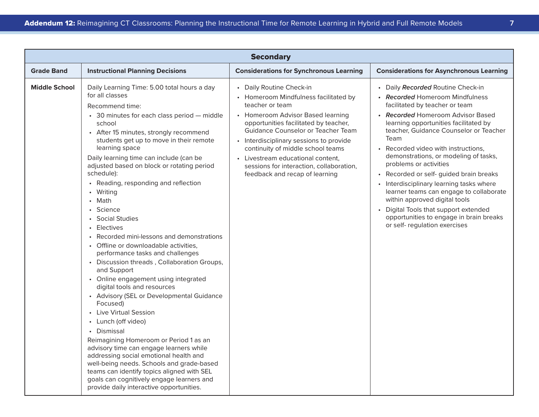| <b>Secondary</b>     |                                                                                                                                                                                                                                                                                                                                                                                                                                                                                                                                                                                                                                                                                                                                                                                                                                                                                                                                                                                                                                                                                                                                                                                     |                                                                                                                                                                                                                                                                                                                                                                                                           |                                                                                                                                                                                                                                                                                                                                                                                                                                                                                                                                                                                                                                          |
|----------------------|-------------------------------------------------------------------------------------------------------------------------------------------------------------------------------------------------------------------------------------------------------------------------------------------------------------------------------------------------------------------------------------------------------------------------------------------------------------------------------------------------------------------------------------------------------------------------------------------------------------------------------------------------------------------------------------------------------------------------------------------------------------------------------------------------------------------------------------------------------------------------------------------------------------------------------------------------------------------------------------------------------------------------------------------------------------------------------------------------------------------------------------------------------------------------------------|-----------------------------------------------------------------------------------------------------------------------------------------------------------------------------------------------------------------------------------------------------------------------------------------------------------------------------------------------------------------------------------------------------------|------------------------------------------------------------------------------------------------------------------------------------------------------------------------------------------------------------------------------------------------------------------------------------------------------------------------------------------------------------------------------------------------------------------------------------------------------------------------------------------------------------------------------------------------------------------------------------------------------------------------------------------|
| <b>Grade Band</b>    | <b>Instructional Planning Decisions</b>                                                                                                                                                                                                                                                                                                                                                                                                                                                                                                                                                                                                                                                                                                                                                                                                                                                                                                                                                                                                                                                                                                                                             | <b>Considerations for Synchronous Learning</b>                                                                                                                                                                                                                                                                                                                                                            | <b>Considerations for Asynchronous Learning</b>                                                                                                                                                                                                                                                                                                                                                                                                                                                                                                                                                                                          |
| <b>Middle School</b> | Daily Learning Time: 5.00 total hours a day<br>for all classes<br>Recommend time:<br>• 30 minutes for each class period - middle<br>school<br>• After 15 minutes, strongly recommend<br>students get up to move in their remote<br>learning space<br>Daily learning time can include (can be<br>adjusted based on block or rotating period<br>schedule):<br>• Reading, responding and reflection<br>• Writing<br>• Math<br>• Science<br>• Social Studies<br>• Electives<br>• Recorded mini-lessons and demonstrations<br>• Offline or downloadable activities,<br>performance tasks and challenges<br>• Discussion threads, Collaboration Groups,<br>and Support<br>• Online engagement using integrated<br>digital tools and resources<br>• Advisory (SEL or Developmental Guidance<br>Focused)<br>• Live Virtual Session<br>• Lunch (off video)<br>• Dismissal<br>Reimagining Homeroom or Period 1 as an<br>advisory time can engage learners while<br>addressing social emotional health and<br>well-being needs. Schools and grade-based<br>teams can identify topics aligned with SEL<br>goals can cognitively engage learners and<br>provide daily interactive opportunities. | • Daily Routine Check-in<br>• Homeroom Mindfulness facilitated by<br>teacher or team<br>• Homeroom Advisor Based learning<br>opportunities facilitated by teacher,<br>Guidance Counselor or Teacher Team<br>Interdisciplinary sessions to provide<br>continuity of middle school teams<br>• Livestream educational content,<br>sessions for interaction, collaboration,<br>feedback and recap of learning | • Daily Recorded Routine Check-in<br>• Recorded Homeroom Mindfulness<br>facilitated by teacher or team<br>• Recorded Homeroom Advisor Based<br>learning opportunities facilitated by<br>teacher, Guidance Counselor or Teacher<br>Team<br>• Recorded video with instructions,<br>demonstrations, or modeling of tasks,<br>problems or activities<br>• Recorded or self- guided brain breaks<br>• Interdisciplinary learning tasks where<br>learner teams can engage to collaborate<br>within approved digital tools<br>• Digital Tools that support extended<br>opportunities to engage in brain breaks<br>or self- regulation exercises |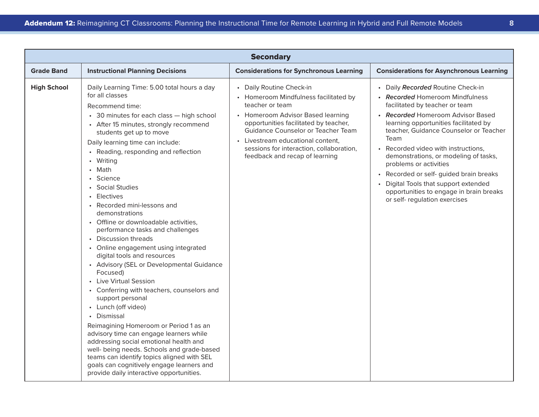| <b>Secondary</b>   |                                                                                                                                                                                                                                                                                                                                                                                                                                                                                                                                                                                                                                                                                                                                                                                                                                                                                                                                                                                                                                                                                                         |                                                                                                                                                                                                                                                                                                                             |                                                                                                                                                                                                                                                                                                                                                                                                                                                                                                                          |  |
|--------------------|---------------------------------------------------------------------------------------------------------------------------------------------------------------------------------------------------------------------------------------------------------------------------------------------------------------------------------------------------------------------------------------------------------------------------------------------------------------------------------------------------------------------------------------------------------------------------------------------------------------------------------------------------------------------------------------------------------------------------------------------------------------------------------------------------------------------------------------------------------------------------------------------------------------------------------------------------------------------------------------------------------------------------------------------------------------------------------------------------------|-----------------------------------------------------------------------------------------------------------------------------------------------------------------------------------------------------------------------------------------------------------------------------------------------------------------------------|--------------------------------------------------------------------------------------------------------------------------------------------------------------------------------------------------------------------------------------------------------------------------------------------------------------------------------------------------------------------------------------------------------------------------------------------------------------------------------------------------------------------------|--|
| <b>Grade Band</b>  | <b>Instructional Planning Decisions</b>                                                                                                                                                                                                                                                                                                                                                                                                                                                                                                                                                                                                                                                                                                                                                                                                                                                                                                                                                                                                                                                                 | <b>Considerations for Synchronous Learning</b>                                                                                                                                                                                                                                                                              | <b>Considerations for Asynchronous Learning</b>                                                                                                                                                                                                                                                                                                                                                                                                                                                                          |  |
| <b>High School</b> | Daily Learning Time: 5.00 total hours a day<br>for all classes<br>Recommend time:<br>• 30 minutes for each class - high school<br>• After 15 minutes, strongly recommend<br>students get up to move<br>Daily learning time can include:<br>• Reading, responding and reflection<br>• Writing<br>• Math<br>• Science<br>• Social Studies<br>• Electives<br>• Recorded mini-lessons and<br>demonstrations<br>• Offline or downloadable activities,<br>performance tasks and challenges<br><b>Discussion threads</b><br>• Online engagement using integrated<br>digital tools and resources<br>• Advisory (SEL or Developmental Guidance<br>Focused)<br>• Live Virtual Session<br>• Conferring with teachers, counselors and<br>support personal<br>• Lunch (off video)<br>• Dismissal<br>Reimagining Homeroom or Period 1 as an<br>advisory time can engage learners while<br>addressing social emotional health and<br>well- being needs. Schools and grade-based<br>teams can identify topics aligned with SEL<br>goals can cognitively engage learners and<br>provide daily interactive opportunities. | • Daily Routine Check-in<br>• Homeroom Mindfulness facilitated by<br>teacher or team<br>• Homeroom Advisor Based learning<br>opportunities facilitated by teacher,<br>Guidance Counselor or Teacher Team<br>• Livestream educational content,<br>sessions for interaction, collaboration,<br>feedback and recap of learning | • Daily Recorded Routine Check-in<br><b>Recorded Homeroom Mindfulness</b><br>facilitated by teacher or team<br><b>Recorded Homeroom Advisor Based</b><br>learning opportunities facilitated by<br>teacher, Guidance Counselor or Teacher<br>Team<br>Recorded video with instructions,<br>demonstrations, or modeling of tasks,<br>problems or activities<br>• Recorded or self- guided brain breaks<br>• Digital Tools that support extended<br>opportunities to engage in brain breaks<br>or self- regulation exercises |  |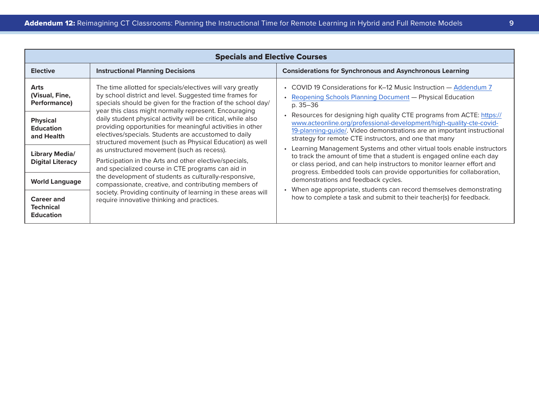|                                                           | <b>Specials and Elective Courses</b>                                                                                                                                                                                                           |                                                                                                                                                                                                                                                                                                       |  |  |  |
|-----------------------------------------------------------|------------------------------------------------------------------------------------------------------------------------------------------------------------------------------------------------------------------------------------------------|-------------------------------------------------------------------------------------------------------------------------------------------------------------------------------------------------------------------------------------------------------------------------------------------------------|--|--|--|
| <b>Elective</b>                                           | <b>Instructional Planning Decisions</b>                                                                                                                                                                                                        | <b>Considerations for Synchronous and Asynchronous Learning</b>                                                                                                                                                                                                                                       |  |  |  |
| <b>Arts</b><br>(Visual, Fine,<br>Performance)             | The time allotted for specials/electives will vary greatly<br>by school district and level. Suggested time frames for<br>specials should be given for the fraction of the school day/<br>year this class might normally represent. Encouraging | • COVID 19 Considerations for K-12 Music Instruction - Addendum 7<br>• Reopening Schools Planning Document - Physical Education<br>p. $35 - 36$                                                                                                                                                       |  |  |  |
| <b>Physical</b><br><b>Education</b><br>and Health         | daily student physical activity will be critical, while also<br>providing opportunities for meaningful activities in other<br>electives/specials. Students are accustomed to daily                                                             | Resources for designing high quality CTE programs from ACTE: https://<br>www.acteonline.org/professional-development/high-quality-cte-covid-<br>19-planning-guide/. Video demonstrations are an important instructional<br>strategy for remote CTE instructors, and one that many                     |  |  |  |
| <b>Library Media/</b><br><b>Digital Literacy</b>          | structured movement (such as Physical Education) as well<br>as unstructured movement (such as recess).<br>Participation in the Arts and other elective/specials,<br>and specialized course in CTE programs can aid in                          | • Learning Management Systems and other virtual tools enable instructors<br>to track the amount of time that a student is engaged online each day<br>or class period, and can help instructors to monitor learner effort and<br>progress. Embedded tools can provide opportunities for collaboration, |  |  |  |
| <b>World Language</b>                                     | the development of students as culturally-responsive,<br>compassionate, creative, and contributing members of                                                                                                                                  | demonstrations and feedback cycles.                                                                                                                                                                                                                                                                   |  |  |  |
| <b>Career and</b><br><b>Technical</b><br><b>Education</b> | society. Providing continuity of learning in these areas will<br>require innovative thinking and practices.                                                                                                                                    | When age appropriate, students can record themselves demonstrating<br>how to complete a task and submit to their teacher(s) for feedback.                                                                                                                                                             |  |  |  |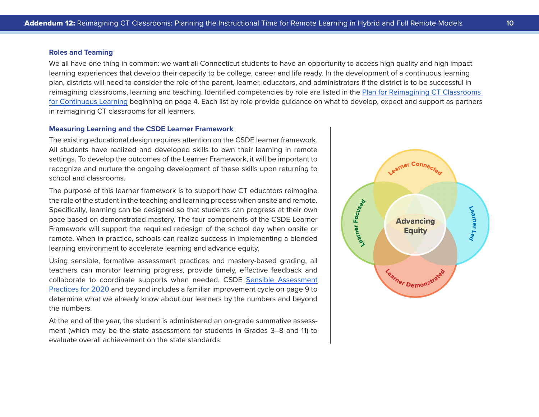## **Roles and Teaming**

We all have one thing in common: we want all Connecticut students to have an opportunity to access high quality and high impact learning experiences that develop their capacity to be college, career and life ready. In the development of a continuous learning plan, districts will need to consider the role of the parent, learner, educators, and administrators if the district is to be successful in reimagining classrooms, learning and teaching. Identified competencies by role are listed in the [Plan for Reimagining CT Classrooms](https://portal.ct.gov/-/media/SDE/COVID-19/ReimaginingCTClassrooms.pdf)  [for Continuous Learning](https://portal.ct.gov/-/media/SDE/COVID-19/ReimaginingCTClassrooms.pdf) beginning on page 4. Each list by role provide guidance on what to develop, expect and support as partners in reimagining CT classrooms for all learners.

#### **Measuring Learning and the CSDE Learner Framework**

The existing educational design requires attention on the CSDE learner framework. All students have realized and developed skills to own their learning in remote settings. To develop the outcomes of the Learner Framework, it will be important to recognize and nurture the ongoing development of these skills upon returning to school and classrooms.

The purpose of this learner framework is to support how CT educators reimagine the role of the student in the teaching and learning process when onsite and remote. Specifically, learning can be designed so that students can progress at their own pace based on demonstrated mastery. The four components of the CSDE Learner Framework will support the required redesign of the school day when onsite or remote. When in practice, schools can realize success in implementing a blended learning environment to accelerate learning and advance equity.

Using sensible, formative assessment practices and mastery-based grading, all teachers can monitor learning progress, provide timely, effective feedback and collaborate to coordinate supports when needed. CSDE [Sensible Assessment](https://portal.ct.gov/-/media/SDE/COVID-19/SensibleAssessmentPractices.pdf)  [Practices for 2020](https://portal.ct.gov/-/media/SDE/COVID-19/SensibleAssessmentPractices.pdf) and beyond includes a familiar improvement cycle on page 9 to determine what we already know about our learners by the numbers and beyond the numbers.

At the end of the year, the student is administered an on-grade summative assessment (which may be the state assessment for students in Grades 3–8 and 11) to evaluate overall achievement on the state standards.

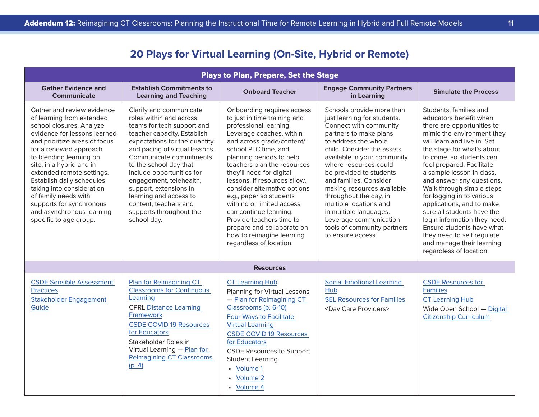<span id="page-10-0"></span>

| <b>201</b> lays for virtual Learning (Off-Site, Hypric of Remote)                                                                                                                                                                                                                                                                                                                                                                       |                                                                                                                                                                                                                                                                                                                                                                                                                        |                                                                                                                                                                                                                                                                                                                                                                                                                                                                                                                                  |                                                                                                                                                                                                                                                                                                                                                                                                                                                                           |                                                                                                                                                                                                                                                                                                                                                                                                                                                                                                                                                                      |  |
|-----------------------------------------------------------------------------------------------------------------------------------------------------------------------------------------------------------------------------------------------------------------------------------------------------------------------------------------------------------------------------------------------------------------------------------------|------------------------------------------------------------------------------------------------------------------------------------------------------------------------------------------------------------------------------------------------------------------------------------------------------------------------------------------------------------------------------------------------------------------------|----------------------------------------------------------------------------------------------------------------------------------------------------------------------------------------------------------------------------------------------------------------------------------------------------------------------------------------------------------------------------------------------------------------------------------------------------------------------------------------------------------------------------------|---------------------------------------------------------------------------------------------------------------------------------------------------------------------------------------------------------------------------------------------------------------------------------------------------------------------------------------------------------------------------------------------------------------------------------------------------------------------------|----------------------------------------------------------------------------------------------------------------------------------------------------------------------------------------------------------------------------------------------------------------------------------------------------------------------------------------------------------------------------------------------------------------------------------------------------------------------------------------------------------------------------------------------------------------------|--|
| <b>Plays to Plan, Prepare, Set the Stage</b>                                                                                                                                                                                                                                                                                                                                                                                            |                                                                                                                                                                                                                                                                                                                                                                                                                        |                                                                                                                                                                                                                                                                                                                                                                                                                                                                                                                                  |                                                                                                                                                                                                                                                                                                                                                                                                                                                                           |                                                                                                                                                                                                                                                                                                                                                                                                                                                                                                                                                                      |  |
| <b>Gather Evidence and</b><br><b>Communicate</b>                                                                                                                                                                                                                                                                                                                                                                                        | <b>Establish Commitments to</b><br><b>Learning and Teaching</b>                                                                                                                                                                                                                                                                                                                                                        | <b>Onboard Teacher</b>                                                                                                                                                                                                                                                                                                                                                                                                                                                                                                           | <b>Engage Community Partners</b><br>in Learning                                                                                                                                                                                                                                                                                                                                                                                                                           | <b>Simulate the Process</b>                                                                                                                                                                                                                                                                                                                                                                                                                                                                                                                                          |  |
| Gather and review evidence<br>of learning from extended<br>school closures. Analyze<br>evidence for lessons learned<br>and prioritize areas of focus<br>for a renewed approach<br>to blending learning on<br>site, in a hybrid and in<br>extended remote settings.<br>Establish daily schedules<br>taking into consideration<br>of family needs with<br>supports for synchronous<br>and asynchronous learning<br>specific to age group. | Clarify and communicate<br>roles within and across<br>teams for tech support and<br>teacher capacity. Establish<br>expectations for the quantity<br>and pacing of virtual lessons.<br>Communicate commitments<br>to the school day that<br>include opportunities for<br>engagement, telehealth,<br>support, extensions in<br>learning and access to<br>content, teachers and<br>supports throughout the<br>school day. | Onboarding requires access<br>to just in time training and<br>professional learning.<br>Leverage coaches, within<br>and across grade/content/<br>school PLC time, and<br>planning periods to help<br>teachers plan the resources<br>they'll need for digital<br>lessons. If resources allow,<br>consider alternative options<br>e.g., paper so students<br>with no or limited access<br>can continue learning.<br>Provide teachers time to<br>prepare and collaborate on<br>how to reimagine learning<br>regardless of location. | Schools provide more than<br>just learning for students.<br>Connect with community<br>partners to make plans<br>to address the whole<br>child. Consider the assets<br>available in your community<br>where resources could<br>be provided to students<br>and families. Consider<br>making resources available<br>throughout the day, in<br>multiple locations and<br>in multiple languages.<br>Leverage communication<br>tools of community partners<br>to ensure access. | Students, families and<br>educators benefit when<br>there are opportunities to<br>mimic the environment they<br>will learn and live in. Set<br>the stage for what's about<br>to come, so students can<br>feel prepared. Facilitate<br>a sample lesson in class,<br>and answer any questions.<br>Walk through simple steps<br>for logging in to various<br>applications, and to make<br>sure all students have the<br>login information they need.<br>Ensure students have what<br>they need to self regulate<br>and manage their learning<br>regardless of location. |  |
|                                                                                                                                                                                                                                                                                                                                                                                                                                         |                                                                                                                                                                                                                                                                                                                                                                                                                        | <b>Resources</b>                                                                                                                                                                                                                                                                                                                                                                                                                                                                                                                 |                                                                                                                                                                                                                                                                                                                                                                                                                                                                           |                                                                                                                                                                                                                                                                                                                                                                                                                                                                                                                                                                      |  |
| <b>CSDE Sensible Assessment</b><br><b>Practices</b><br><b>Stakeholder Engagement</b><br>Guide                                                                                                                                                                                                                                                                                                                                           | Plan for Reimagining CT<br><b>Classrooms for Continuous</b><br>Learning<br><b>CPRL Distance Learning</b><br>Framework<br><b>CSDE COVID 19 Resources</b><br>for Educators<br>Stakeholder Roles in<br>Virtual Learning - Plan for<br><b>Reimagining CT Classrooms</b><br>(p. 4)                                                                                                                                          | <b>CT Learning Hub</b><br>Planning for Virtual Lessons<br>- Plan for Reimagining CT<br>Classrooms (p. 6-10)<br><b>Four Ways to Facilitate</b><br><b>Virtual Learning</b><br><b>CSDE COVID 19 Resources</b><br>for Educators<br><b>CSDE Resources to Support</b><br><b>Student Learning</b><br>• Volume 1<br>• Volume 2<br>• Volume 4                                                                                                                                                                                             | <b>Social Emotional Learning</b><br><b>Hub</b><br><b>SEL Resources for Families</b><br><day care="" providers=""></day>                                                                                                                                                                                                                                                                                                                                                   | <b>CSDE Resources for</b><br><b>Families</b><br><b>CT Learning Hub</b><br>Wide Open School - Digital<br><b>Citizenship Curriculum</b>                                                                                                                                                                                                                                                                                                                                                                                                                                |  |

## **20 Plays for Virtual Learning (On-Site, Hybrid or Remote)**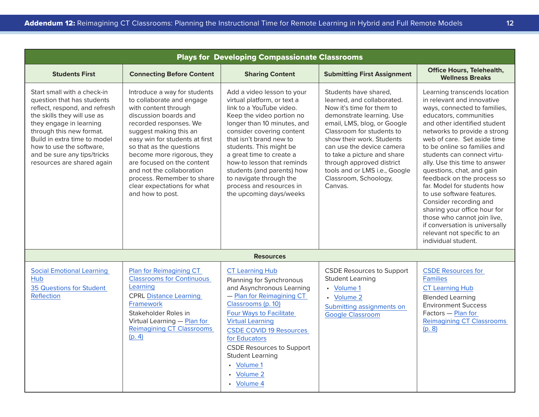| <b>Plays for Developing Compassionate Classrooms</b>                                                                                                                                                                                                                                                      |                                                                                                                                                                                                                                                                                                                                                                                                        |                                                                                                                                                                                                                                                                                                                                                                                                                |                                                                                                                                                                                                                                                                                                                                                                      |                                                                                                                                                                                                                                                                                                                                                                                                                                                                                                                                                                                                                             |
|-----------------------------------------------------------------------------------------------------------------------------------------------------------------------------------------------------------------------------------------------------------------------------------------------------------|--------------------------------------------------------------------------------------------------------------------------------------------------------------------------------------------------------------------------------------------------------------------------------------------------------------------------------------------------------------------------------------------------------|----------------------------------------------------------------------------------------------------------------------------------------------------------------------------------------------------------------------------------------------------------------------------------------------------------------------------------------------------------------------------------------------------------------|----------------------------------------------------------------------------------------------------------------------------------------------------------------------------------------------------------------------------------------------------------------------------------------------------------------------------------------------------------------------|-----------------------------------------------------------------------------------------------------------------------------------------------------------------------------------------------------------------------------------------------------------------------------------------------------------------------------------------------------------------------------------------------------------------------------------------------------------------------------------------------------------------------------------------------------------------------------------------------------------------------------|
| <b>Students First</b>                                                                                                                                                                                                                                                                                     | <b>Connecting Before Content</b>                                                                                                                                                                                                                                                                                                                                                                       | <b>Sharing Content</b>                                                                                                                                                                                                                                                                                                                                                                                         | <b>Submitting First Assignment</b>                                                                                                                                                                                                                                                                                                                                   | <b>Office Hours, Telehealth,</b><br><b>Wellness Breaks</b>                                                                                                                                                                                                                                                                                                                                                                                                                                                                                                                                                                  |
| Start small with a check-in<br>question that has students<br>reflect, respond, and refresh<br>the skills they will use as<br>they engage in learning<br>through this new format.<br>Build in extra time to model<br>how to use the software.<br>and be sure any tips/tricks<br>resources are shared again | Introduce a way for students<br>to collaborate and engage<br>with content through<br>discussion boards and<br>recorded responses. We<br>suggest making this an<br>easy win for students at first<br>so that as the questions<br>become more rigorous, they<br>are focused on the content<br>and not the collaboration<br>process. Remember to share<br>clear expectations for what<br>and how to post. | Add a video lesson to your<br>virtual platform, or text a<br>link to a YouTube video.<br>Keep the video portion no<br>longer than 10 minutes, and<br>consider covering content<br>that isn't brand new to<br>students. This might be<br>a great time to create a<br>how-to lesson that reminds<br>students (and parents) how<br>to navigate through the<br>process and resources in<br>the upcoming days/weeks | Students have shared.<br>learned, and collaborated.<br>Now it's time for them to<br>demonstrate learning. Use<br>email, LMS, blog, or Google<br>Classroom for students to<br>show their work. Students<br>can use the device camera<br>to take a picture and share<br>through approved district<br>tools and or LMS i.e., Google<br>Classroom, Schoology,<br>Canvas. | Learning transcends location<br>in relevant and innovative<br>ways, connected to families,<br>educators, communities<br>and other identified student<br>networks to provide a strong<br>web of care. Set aside time<br>to be online so families and<br>students can connect virtu-<br>ally. Use this time to answer<br>questions, chat, and gain<br>feedback on the process so<br>far. Model for students how<br>to use software features.<br>Consider recording and<br>sharing your office hour for<br>those who cannot join live,<br>if conversation is universally<br>relevant not specific to an<br>individual student. |
|                                                                                                                                                                                                                                                                                                           |                                                                                                                                                                                                                                                                                                                                                                                                        | <b>Resources</b>                                                                                                                                                                                                                                                                                                                                                                                               |                                                                                                                                                                                                                                                                                                                                                                      |                                                                                                                                                                                                                                                                                                                                                                                                                                                                                                                                                                                                                             |
| <b>Social Emotional Learning</b><br><b>Hub</b><br>35 Questions for Student<br><b>Reflection</b>                                                                                                                                                                                                           | Plan for Reimagining CT<br><b>Classrooms for Continuous</b><br>Learning<br><b>CPRL Distance Learning</b><br>Framework<br>Stakeholder Roles in<br>Virtual Learning - Plan for<br><b>Reimagining CT Classrooms</b><br>(p. 4)                                                                                                                                                                             | <b>CT Learning Hub</b><br>Planning for Synchronous<br>and Asynchronous Learning<br>- Plan for Reimagining CT<br>Classrooms (p. 10)<br><b>Four Ways to Facilitate</b><br><b>Virtual Learning</b><br><b>CSDE COVID 19 Resources</b><br>for Educators<br><b>CSDE Resources to Support</b><br><b>Student Learning</b><br>• Volume 1<br>Volume 2<br>$\bullet$<br>• Volume 4                                         | <b>CSDE Resources to Support</b><br><b>Student Learning</b><br>• Volume 1<br>• Volume 2<br>Submitting assignments on<br><b>Google Classroom</b>                                                                                                                                                                                                                      | <b>CSDE Resources for</b><br><b>Families</b><br><b>CT Learning Hub</b><br><b>Blended Learning</b><br><b>Environment Success</b><br>Factors - Plan for<br><b>Reimagining CT Classrooms</b><br>(p. 8)                                                                                                                                                                                                                                                                                                                                                                                                                         |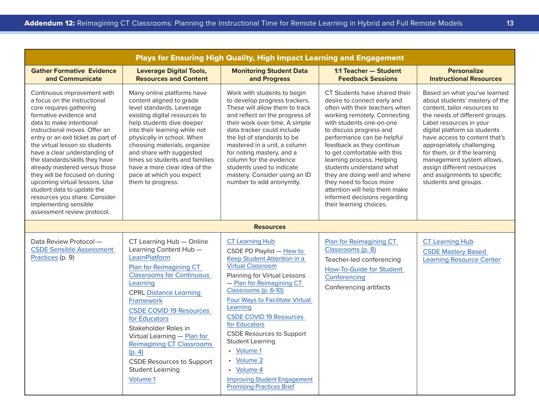| Plays for Ensuring High Quality, High Impact Learning and Engagement                                                                                                                                                                                                                                                                                                                                                                                                                                                                                |                                                                                                                                                                                                                                                                                                                                                                                                                                 |                                                                                                                                                                                                                                                                                                                                                                                                                                                                                                  |                                                                                                                                                                                                                                                                                                                                                                                                                                                                                                   |                                                                                                                                                                                                                                                                                                                                                                                                             |
|-----------------------------------------------------------------------------------------------------------------------------------------------------------------------------------------------------------------------------------------------------------------------------------------------------------------------------------------------------------------------------------------------------------------------------------------------------------------------------------------------------------------------------------------------------|---------------------------------------------------------------------------------------------------------------------------------------------------------------------------------------------------------------------------------------------------------------------------------------------------------------------------------------------------------------------------------------------------------------------------------|--------------------------------------------------------------------------------------------------------------------------------------------------------------------------------------------------------------------------------------------------------------------------------------------------------------------------------------------------------------------------------------------------------------------------------------------------------------------------------------------------|---------------------------------------------------------------------------------------------------------------------------------------------------------------------------------------------------------------------------------------------------------------------------------------------------------------------------------------------------------------------------------------------------------------------------------------------------------------------------------------------------|-------------------------------------------------------------------------------------------------------------------------------------------------------------------------------------------------------------------------------------------------------------------------------------------------------------------------------------------------------------------------------------------------------------|
| <b>Gather Formative Evidence</b><br>and Communicate                                                                                                                                                                                                                                                                                                                                                                                                                                                                                                 | <b>Leverage Digital Tools,</b><br><b>Resources and Content</b>                                                                                                                                                                                                                                                                                                                                                                  | <b>Monitoring Student Data</b><br>and Progress                                                                                                                                                                                                                                                                                                                                                                                                                                                   | 1:1 Teacher - Student<br><b>Feedback Sessions</b>                                                                                                                                                                                                                                                                                                                                                                                                                                                 | <b>Personalize</b><br><b>Instructional Resources</b>                                                                                                                                                                                                                                                                                                                                                        |
| Continuous improvement with<br>a focus on the instructional<br>core requires gathering<br>formative evidence and<br>data to make intentional<br>instructional moves. Offer an<br>entry or an exit ticket as part of<br>the virtual lesson so students<br>have a clear understanding of<br>the standards/skills they have<br>already mastered versus those<br>they will be focused on during<br>upcoming virtual lessons. Use<br>student data to update the<br>resources you share. Consider<br>implementing sensible<br>assessment review protocol. | Many online platforms have<br>content aligned to grade<br>level standards. Leverage<br>existing digital resources to<br>help students dive deeper<br>into their learning while not<br>physically in school. When<br>choosing materials, organize<br>and share with suggested<br>times so students and families<br>have a more clear idea of the<br>pace at which you expect<br>them to progress.                                | Work with students to begin<br>to develop progress trackers.<br>These will allow them to track<br>and reflect on the progress of<br>their work over time. A simple<br>data tracker could include<br>the list of standards to be<br>mastered in a unit, a column<br>for noting mastery, and a<br>column for the evidence<br>students used to indicate<br>mastery. Consider using an ID<br>number to add anonymity.                                                                                | CT Students have shared their<br>desire to connect early and<br>often with their teachers when<br>working remotely. Connecting<br>with students one-on-one<br>to discuss progress and<br>performance can be helpful<br>feedback as they continue<br>to get comfortable with this<br>learning process. Helping<br>students understand what<br>they are doing well and where<br>they need to focus more<br>attention will help them make<br>informed decisions regarding<br>their learning choices. | Based on what you've learned<br>about students' mastery of the<br>content, tailor resources to<br>the needs of different groups.<br>Label resources in your<br>digital platform so students<br>have access to content that's<br>appropriately challenging<br>for them, or if the learning<br>management system allows,<br>assign different resources<br>and assignments to specific<br>students and groups. |
|                                                                                                                                                                                                                                                                                                                                                                                                                                                                                                                                                     |                                                                                                                                                                                                                                                                                                                                                                                                                                 | <b>Resources</b>                                                                                                                                                                                                                                                                                                                                                                                                                                                                                 |                                                                                                                                                                                                                                                                                                                                                                                                                                                                                                   |                                                                                                                                                                                                                                                                                                                                                                                                             |
| Data Review Protocol -<br><b>CSDE Sensible Assessment</b><br>Practices (p. 9)                                                                                                                                                                                                                                                                                                                                                                                                                                                                       | CT Learning Hub - Online<br>Learning Content Hub -<br>LearnPlatform<br>Plan for Reimagining CT<br><b>Classrooms for Continuous</b><br>Learning<br><b>CPRL Distance Learning</b><br>Framework<br><b>CSDE COVID 19 Resources</b><br>for Educators<br>Stakeholder Roles in<br>Virtual Learning - Plan for<br><b>Reimagining CT Classrooms</b><br>(p. 4)<br><b>CSDE Resources to Support</b><br><b>Student Learning</b><br>Volume 1 | <b>CT Learning Hub</b><br>CSDE PD Playlist - How to<br>Keep Student Attention in a<br><b>Virtual Classroom</b><br>Planning for Virtual Lessons<br>- Plan for Reimagining CT<br>Classrooms (p. 6-10)<br><b>Four Ways to Facilitate Virtual</b><br>Learning<br><b>CSDE COVID 19 Resources</b><br>for Educators<br><b>CSDE Resources to Support</b><br><b>Student Learning</b><br>• Volume 1<br>• Volume 2<br>• Volume 4<br><b>Improving Student Engagement</b><br><b>Promising Practices Brief</b> | Plan for Reimagining CT<br>Classrooms (p. 8)<br>Teacher-led conferencing<br>How-To-Guide for Student<br>Conferencing<br>Conferencing artifacts                                                                                                                                                                                                                                                                                                                                                    | <b>CT Learning Hub</b><br><b>CSDE Mastery Based</b><br><b>Learning Resource Center</b>                                                                                                                                                                                                                                                                                                                      |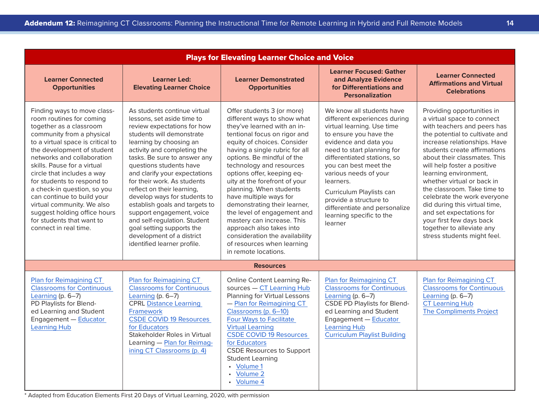| <b>Plays for Elevating Learner Choice and Voice</b>                                                                                                                                                                                                                                                                                                                                                                                                                                          |                                                                                                                                                                                                                                                                                                                                                                                                                                                                                                                                                                   |                                                                                                                                                                                                                                                                                                                                                                                                                                                                                                                                                                                          |                                                                                                                                                                                                                                                                                                                                                                                                      |                                                                                                                                                                                                                                                                                                                                                                                                                                                                                                                                    |
|----------------------------------------------------------------------------------------------------------------------------------------------------------------------------------------------------------------------------------------------------------------------------------------------------------------------------------------------------------------------------------------------------------------------------------------------------------------------------------------------|-------------------------------------------------------------------------------------------------------------------------------------------------------------------------------------------------------------------------------------------------------------------------------------------------------------------------------------------------------------------------------------------------------------------------------------------------------------------------------------------------------------------------------------------------------------------|------------------------------------------------------------------------------------------------------------------------------------------------------------------------------------------------------------------------------------------------------------------------------------------------------------------------------------------------------------------------------------------------------------------------------------------------------------------------------------------------------------------------------------------------------------------------------------------|------------------------------------------------------------------------------------------------------------------------------------------------------------------------------------------------------------------------------------------------------------------------------------------------------------------------------------------------------------------------------------------------------|------------------------------------------------------------------------------------------------------------------------------------------------------------------------------------------------------------------------------------------------------------------------------------------------------------------------------------------------------------------------------------------------------------------------------------------------------------------------------------------------------------------------------------|
| <b>Learner Connected</b><br><b>Opportunities</b>                                                                                                                                                                                                                                                                                                                                                                                                                                             | <b>Learner Led:</b><br><b>Elevating Learner Choice</b>                                                                                                                                                                                                                                                                                                                                                                                                                                                                                                            | <b>Learner Demonstrated</b><br><b>Opportunities</b>                                                                                                                                                                                                                                                                                                                                                                                                                                                                                                                                      | <b>Learner Focused: Gather</b><br>and Analyze Evidence<br>for Differentiations and<br><b>Personalization</b>                                                                                                                                                                                                                                                                                         | <b>Learner Connected</b><br><b>Affirmations and Virtual</b><br><b>Celebrations</b>                                                                                                                                                                                                                                                                                                                                                                                                                                                 |
| Finding ways to move class-<br>room routines for coming<br>together as a classroom<br>community from a physical<br>to a virtual space is critical to<br>the development of student<br>networks and collaboration<br>skills. Pause for a virtual<br>circle that includes a way<br>for students to respond to<br>a check-in question, so you<br>can continue to build your<br>virtual community. We also<br>suggest holding office hours<br>for students that want to<br>connect in real time. | As students continue virtual<br>lessons, set aside time to<br>review expectations for how<br>students will demonstrate<br>learning by choosing an<br>activity and completing the<br>tasks. Be sure to answer any<br>questions students have<br>and clarify your expectations<br>for their work. As students<br>reflect on their learning,<br>develop ways for students to<br>establish goals and targets to<br>support engagement, voice<br>and self-regulation. Student<br>goal setting supports the<br>development of a district<br>identified learner profile. | Offer students 3 (or more)<br>different ways to show what<br>they've learned with an in-<br>tentional focus on rigor and<br>equity of choices. Consider<br>having a single rubric for all<br>options. Be mindful of the<br>technology and resources<br>options offer, keeping eq-<br>uity at the forefront of your<br>planning. When students<br>have multiple ways for<br>demonstrating their learner,<br>the level of engagement and<br>mastery can increase. This<br>approach also takes into<br>consideration the availability<br>of resources when learning<br>in remote locations. | We know all students have<br>different experiences during<br>virtual learning. Use time<br>to ensure you have the<br>evidence and data you<br>need to start planning for<br>differentiated stations, so<br>you can best meet the<br>various needs of your<br>learners.<br>Curriculum Playlists can<br>provide a structure to<br>differentiate and personalize<br>learning specific to the<br>learner | Providing opportunities in<br>a virtual space to connect<br>with teachers and peers has<br>the potential to cultivate and<br>increase relationships. Have<br>students create affirmations<br>about their classmates. This<br>will help foster a positive<br>learning environment,<br>whether virtual or back in<br>the classroom. Take time to<br>celebrate the work everyone<br>did during this virtual time,<br>and set expectations for<br>your first few days back<br>together to alleviate any<br>stress students might feel. |
|                                                                                                                                                                                                                                                                                                                                                                                                                                                                                              |                                                                                                                                                                                                                                                                                                                                                                                                                                                                                                                                                                   | <b>Resources</b>                                                                                                                                                                                                                                                                                                                                                                                                                                                                                                                                                                         |                                                                                                                                                                                                                                                                                                                                                                                                      |                                                                                                                                                                                                                                                                                                                                                                                                                                                                                                                                    |
| Plan for Reimagining CT<br><b>Classrooms for Continuous</b><br>Learning (p. $6-7$ )<br>PD Playlists for Blend-<br>ed Learning and Student<br>Engagement - Educator<br><b>Learning Hub</b>                                                                                                                                                                                                                                                                                                    | Plan for Reimagining CT<br><b>Classrooms for Continuous</b><br>Learning (p. $6-7$ )<br><b>CPRL Distance Learning</b><br>Framework<br><b>CSDE COVID 19 Resources</b><br>for Educators<br>Stakeholder Roles in Virtual<br>Learning - Plan for Reimag-<br>ining CT Classrooms (p. 4)                                                                                                                                                                                                                                                                                 | Online Content Learning Re-<br>sources - CT Learning Hub<br>Planning for Virtual Lessons<br>- Plan for Reimagining CT<br>Classrooms (p. 6-10)<br><b>Four Ways to Facilitate</b><br><b>Virtual Learning</b><br><b>CSDE COVID 19 Resources</b><br>for Educators<br><b>CSDE Resources to Support</b><br><b>Student Learning</b><br>• Volume 1<br>Volume <sub>2</sub><br>$\bullet$<br>• Volume 4                                                                                                                                                                                             | Plan for Reimagining CT<br><b>Classrooms for Continuous</b><br>Learning (p. $6-7$ )<br>CSDE PD Playlists for Blend-<br>ed Learning and Student<br>Engagement - Educator<br><b>Learning Hub</b><br><b>Curriculum Playlist Building</b>                                                                                                                                                                | Plan for Reimagining CT<br><b>Classrooms for Continuous</b><br>Learning (p. $6-7$ )<br><b>CT Learning Hub</b><br><b>The Compliments Project</b>                                                                                                                                                                                                                                                                                                                                                                                    |

\* Adapted from Education Elements First 20 Days of Virtual Learning, 2020, with permission